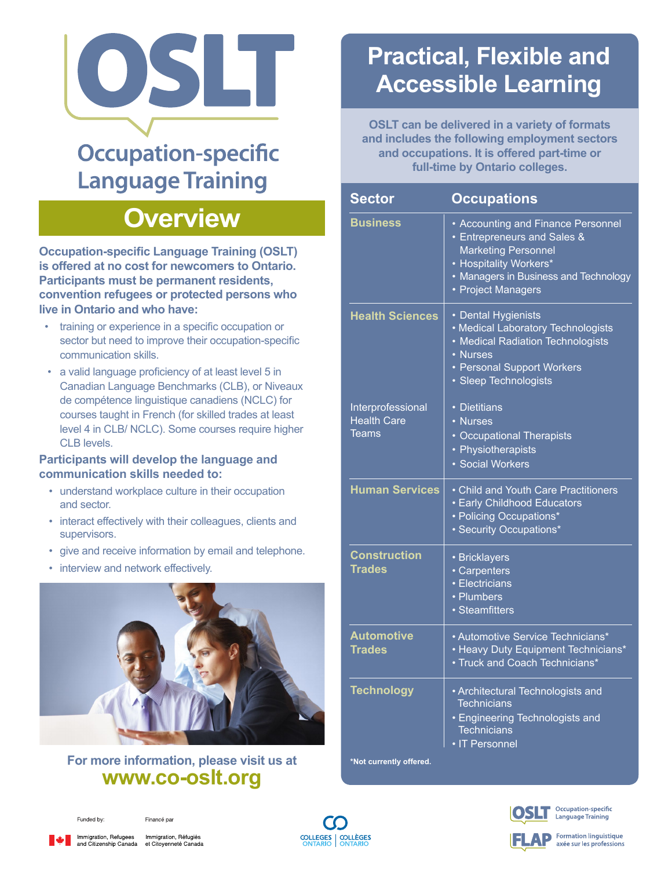

# **Occupation-specific Language Training**

## **Overview**

**Occupation-specific Language Training (OSLT) is offered at no cost for newcomers to Ontario. Participants must be permanent residents, convention refugees or protected persons who live in Ontario and who have:**

- training or experience in a specific occupation or sector but need to improve their occupation-specific communication skills.
- a valid language proficiency of at least level 5 in Canadian Language Benchmarks (CLB), or Niveaux de compétence linguistique canadiens (NCLC) for courses taught in French (for skilled trades at least level 4 in CLB/ NCLC). Some courses require higher CLB levels.

#### **Participants will develop the language and communication skills needed to:**

- understand workplace culture in their occupation and sector.
- interact effectively with their colleagues, clients and supervisors.
- give and receive information by email and telephone.
- interview and network effectively.



### **For more information, please visit us at <www.co-oslt.org>**

# **Practical, Flexible and Accessible Learning**

**OSLT can be delivered in a variety of formats and includes the following employment sectors and occupations. It is offered part-time or full-time by Ontario colleges.**

| <b>Sector</b>                                           | <b>Occupations</b>                                                                                                                                                                                  |
|---------------------------------------------------------|-----------------------------------------------------------------------------------------------------------------------------------------------------------------------------------------------------|
| <b>Business</b>                                         | • Accounting and Finance Personnel<br><b>• Entrepreneurs and Sales &amp;</b><br><b>Marketing Personnel</b><br>• Hospitality Workers*<br>• Managers in Business and Technology<br>• Project Managers |
| <b>Health Sciences</b>                                  | • Dental Hygienists<br>• Medical Laboratory Technologists<br>• Medical Radiation Technologists<br>• Nurses<br>• Personal Support Workers<br>· Sleep Technologists                                   |
| Interprofessional<br><b>Health Care</b><br><b>Teams</b> | • Dietitians<br>• Nurses<br>• Occupational Therapists<br>• Physiotherapists<br>· Social Workers                                                                                                     |
| <b>Human Services</b>                                   | • Child and Youth Care Practitioners<br><b>· Early Childhood Educators</b><br>• Policing Occupations*<br>• Security Occupations*                                                                    |
| <b>Construction</b><br><b>Trades</b>                    | • Bricklayers<br>· Carpenters<br>• Electricians<br>• Plumbers<br>• Steamfitters                                                                                                                     |
| <b>Automotive</b><br><b>Trades</b>                      | • Automotive Service Technicians*<br>• Heavy Duty Equipment Technicians*<br>• Truck and Coach Technicians*                                                                                          |
| <b>Technology</b>                                       | • Architectural Technologists and<br><b>Technicians</b><br>• Engineering Technologists and<br><b>Technicians</b><br>• IT Personnel                                                                  |
| *Not currently offered.                                 |                                                                                                                                                                                                     |

Occupation-specific anguage Training

**Formation linguistique** axée sur les professions



Financé par



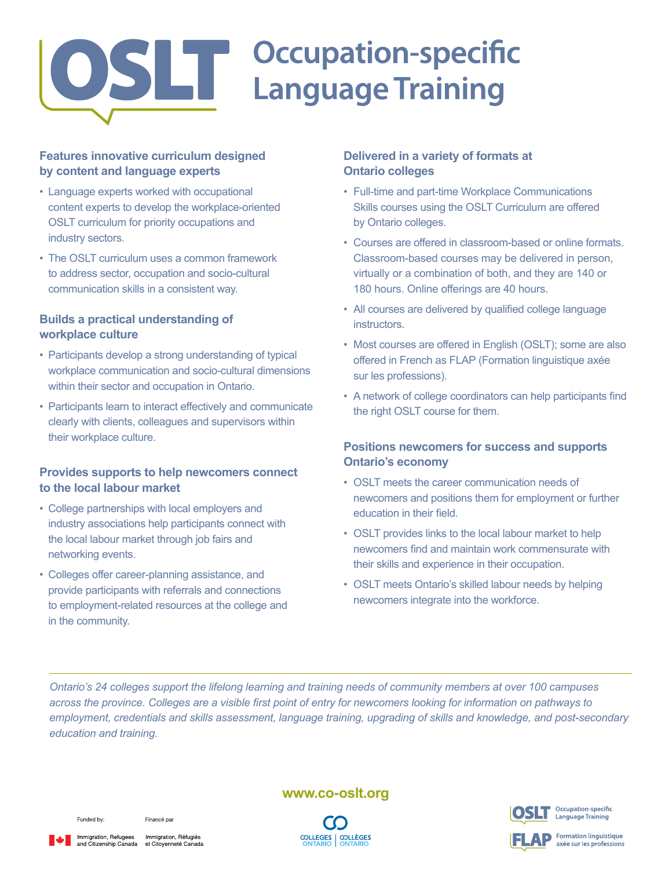

### **Features innovative curriculum designed by content and language experts**

- Language experts worked with occupational content experts to develop the workplace-oriented OSLT curriculum for priority occupations and industry sectors.
- The OSLT curriculum uses a common framework to address sector, occupation and socio-cultural communication skills in a consistent way.

### **Builds a practical understanding of workplace culture**

- Participants develop a strong understanding of typical workplace communication and socio-cultural dimensions within their sector and occupation in Ontario.
- Participants learn to interact effectively and communicate clearly with clients, colleagues and supervisors within their workplace culture.

#### **Provides supports to help newcomers connect to the local labour market**

- College partnerships with local employers and industry associations help participants connect with the local labour market through job fairs and networking events.
- Colleges offer career-planning assistance, and provide participants with referrals and connections to employment-related resources at the college and in the community.

### **Delivered in a variety of formats at Ontario colleges**

- Full-time and part-time Workplace Communications Skills courses using the OSLT Curriculum are offered by Ontario colleges.
- Courses are offered in classroom-based or online formats. Classroom-based courses may be delivered in person, virtually or a combination of both, and they are 140 or 180 hours. Online offerings are 40 hours.
- All courses are delivered by qualified college language instructors.
- Most courses are offered in English (OSLT); some are also offered in French as FLAP (Formation linguistique axée sur les professions).
- A network of college coordinators can help participants find the right OSLT course for them.

#### **Positions newcomers for success and supports Ontario's economy**

- OSLT meets the career communication needs of newcomers and positions them for employment or further education in their field.
- OSLT provides links to the local labour market to help newcomers find and maintain work commensurate with their skills and experience in their occupation.
- OSLT meets Ontario's skilled labour needs by helping newcomers integrate into the workforce.

*Ontario's 24 colleges support the lifelong learning and training needs of community members at over 100 campuses across the province. Colleges are a visible first point of entry for newcomers looking for information on pathways to employment, credentials and skills assessment, language training, upgrading of skills and knowledge, and post-secondary education and training.*

#### Funded by:

Financé par



Immigration, Refugees Immigration, Réfugiés<br>and Citizenship Canada et Citoyenneté Canada

#### **<www.co-oslt.org>**